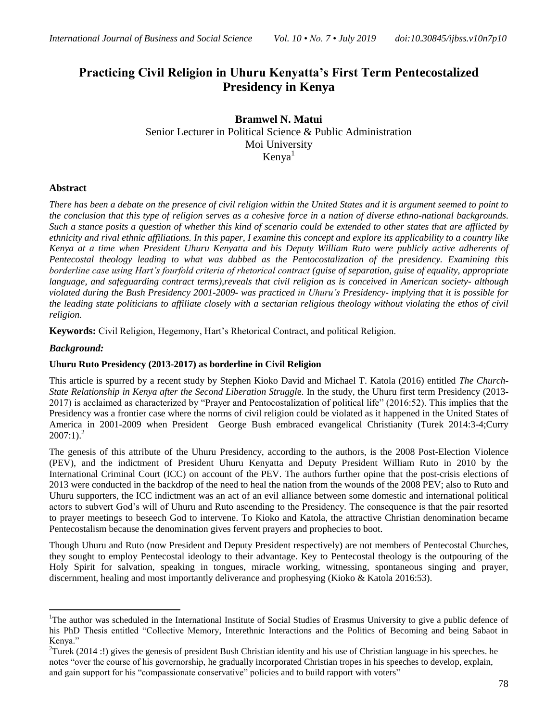# **Practicing Civil Religion in Uhuru Kenyatta's First Term Pentecostalized Presidency in Kenya**

**Bramwel N. Matui**  Senior Lecturer in Political Science & Public Administration Moi University  $Kenva<sup>1</sup>$ 

# **Abstract**

*There has been a debate on the presence of civil religion within the United States and it is argument seemed to point to the conclusion that this type of religion serves as a cohesive force in a nation of diverse ethno-national backgrounds. Such a stance posits a question of whether this kind of scenario could be extended to other states that are afflicted by ethnicity and rival ethnic affiliations. In this paper, I examine this concept and explore its applicability to a country like Kenya at a time when President Uhuru Kenyatta and his Deputy William Ruto were publicly active adherents of Pentecostal theology leading to what was dubbed as the Pentocostalization of the presidency. Examining this borderline case using Hart's fourfold criteria of rhetorical contract (guise of separation, guise of equality, appropriate language, and safeguarding contract terms),reveals that civil religion as is conceived in American society- although violated during the Bush Presidency 2001-2009- was practiced in Uhuru's Presidency- implying that it is possible for the leading state politicians to affiliate closely with a sectarian religious theology without violating the ethos of civil religion.*

**Keywords:** Civil Religion, Hegemony, Hart's Rhetorical Contract, and political Religion.

# *Background:*

 $\overline{\phantom{a}}$ 

# **Uhuru Ruto Presidency (2013-2017) as borderline in Civil Religion**

This article is spurred by a recent study by Stephen Kioko David and Michael T. Katola (2016) entitled *The Church-State Relationship in Kenya after the Second Liberation Struggl*e. In the study, the Uhuru first term Presidency (2013-  $2017$ ) is acclaimed as characterized by "Prayer and Pentocostalization of political life" ( $2016:52$ ). This implies that the Presidency was a frontier case where the norms of civil religion could be violated as it happened in the United States of America in 2001-2009 when President George Bush embraced evangelical Christianity (Turek 2014:3-4;Curry  $2007:1$ ).<sup>2</sup>

The genesis of this attribute of the Uhuru Presidency, according to the authors, is the 2008 Post-Election Violence (PEV), and the indictment of President Uhuru Kenyatta and Deputy President William Ruto in 2010 by the International Criminal Court (ICC) on account of the PEV. The authors further opine that the post-crisis elections of 2013 were conducted in the backdrop of the need to heal the nation from the wounds of the 2008 PEV; also to Ruto and Uhuru supporters, the ICC indictment was an act of an evil alliance between some domestic and international political actors to subvert God's will of Uhuru and Ruto ascending to the Presidency. The consequence is that the pair resorted to prayer meetings to beseech God to intervene. To Kioko and Katola, the attractive Christian denomination became Pentecostalism because the denomination gives fervent prayers and prophecies to boot.

Though Uhuru and Ruto (now President and Deputy President respectively) are not members of Pentecostal Churches, they sought to employ Pentecostal ideology to their advantage. Key to Pentecostal theology is the outpouring of the Holy Spirit for salvation, speaking in tongues, miracle working, witnessing, spontaneous singing and prayer, discernment, healing and most importantly deliverance and prophesying (Kioko & Katola 2016:53).

<sup>&</sup>lt;sup>1</sup>The author was scheduled in the International Institute of Social Studies of Erasmus University to give a public defence of his PhD Thesis entitled "Collective Memory, Interethnic Interactions and the Politics of Becoming and being Sabaot in Kenya."

<sup>&</sup>lt;sup>2</sup>Turek (2014 :!) gives the genesis of president Bush Christian identity and his use of Christian language in his speeches. he notes "over the course of his governorship, he gradually incorporated Christian tropes in his speeches to develop, explain, and gain support for his "compassionate conservative" policies and to build rapport with voters"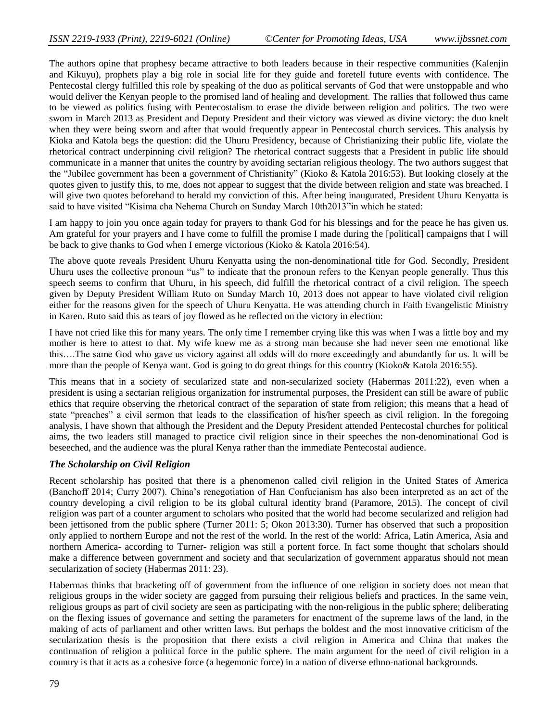The authors opine that prophesy became attractive to both leaders because in their respective communities (Kalenjin and Kikuyu), prophets play a big role in social life for they guide and foretell future events with confidence. The Pentecostal clergy fulfilled this role by speaking of the duo as political servants of God that were unstoppable and who would deliver the Kenyan people to the promised land of healing and development. The rallies that followed thus came to be viewed as politics fusing with Pentecostalism to erase the divide between religion and politics. The two were sworn in March 2013 as President and Deputy President and their victory was viewed as divine victory: the duo knelt when they were being sworn and after that would frequently appear in Pentecostal church services. This analysis by Kioka and Katola begs the question: did the Uhuru Presidency, because of Christianizing their public life, violate the rhetorical contract underpinning civil religion? The rhetorical contract suggests that a President in public life should communicate in a manner that unites the country by avoiding sectarian religious theology. The two authors suggest that the "Jubilee government has been a government of Christianity" (Kioko & Katola 2016:53). But looking closely at the quotes given to justify this, to me, does not appear to suggest that the divide between religion and state was breached. I will give two quotes beforehand to herald my conviction of this. After being inaugurated, President Uhuru Kenyatta is said to have visited "Kisima cha Nehema Church on Sunday March 10th2013" in which he stated:

I am happy to join you once again today for prayers to thank God for his blessings and for the peace he has given us. Am grateful for your prayers and I have come to fulfill the promise I made during the [political] campaigns that I will be back to give thanks to God when I emerge victorious (Kioko & Katola 2016:54).

The above quote reveals President Uhuru Kenyatta using the non-denominational title for God. Secondly, President Uhuru uses the collective pronoun "us" to indicate that the pronoun refers to the Kenyan people generally. Thus this speech seems to confirm that Uhuru, in his speech, did fulfill the rhetorical contract of a civil religion. The speech given by Deputy President William Ruto on Sunday March 10, 2013 does not appear to have violated civil religion either for the reasons given for the speech of Uhuru Kenyatta. He was attending church in Faith Evangelistic Ministry in Karen. Ruto said this as tears of joy flowed as he reflected on the victory in election:

I have not cried like this for many years. The only time I remember crying like this was when I was a little boy and my mother is here to attest to that. My wife knew me as a strong man because she had never seen me emotional like this….The same God who gave us victory against all odds will do more exceedingly and abundantly for us. It will be more than the people of Kenya want. God is going to do great things for this country (Kioko& Katola 2016:55).

This means that in a society of secularized state and non-secularized society (Habermas 2011:22), even when a president is using a sectarian religious organization for instrumental purposes, the President can still be aware of public ethics that require observing the rhetorical contract of the separation of state from religion; this means that a head of state "preaches" a civil sermon that leads to the classification of his/her speech as civil religion. In the foregoing analysis, I have shown that although the President and the Deputy President attended Pentecostal churches for political aims, the two leaders still managed to practice civil religion since in their speeches the non-denominational God is beseeched, and the audience was the plural Kenya rather than the immediate Pentecostal audience.

#### *The Scholarship on Civil Religion*

Recent scholarship has posited that there is a phenomenon called civil religion in the United States of America (Banchoff 2014; Curry 2007). China's renegotiation of Han Confucianism has also been interpreted as an act of the country developing a civil religion to be its global cultural identity brand (Paramore, 2015). The concept of civil religion was part of a counter argument to scholars who posited that the world had become secularized and religion had been jettisoned from the public sphere (Turner 2011: 5; Okon 2013:30). Turner has observed that such a proposition only applied to northern Europe and not the rest of the world. In the rest of the world: Africa, Latin America, Asia and northern America- according to Turner- religion was still a portent force. In fact some thought that scholars should make a difference between government and society and that secularization of government apparatus should not mean secularization of society (Habermas 2011: 23).

Habermas thinks that bracketing off of government from the influence of one religion in society does not mean that religious groups in the wider society are gagged from pursuing their religious beliefs and practices. In the same vein, religious groups as part of civil society are seen as participating with the non-religious in the public sphere; deliberating on the flexing issues of governance and setting the parameters for enactment of the supreme laws of the land, in the making of acts of parliament and other written laws. But perhaps the boldest and the most innovative criticism of the secularization thesis is the proposition that there exists a civil religion in America and China that makes the continuation of religion a political force in the public sphere. The main argument for the need of civil religion in a country is that it acts as a cohesive force (a hegemonic force) in a nation of diverse ethno-national backgrounds.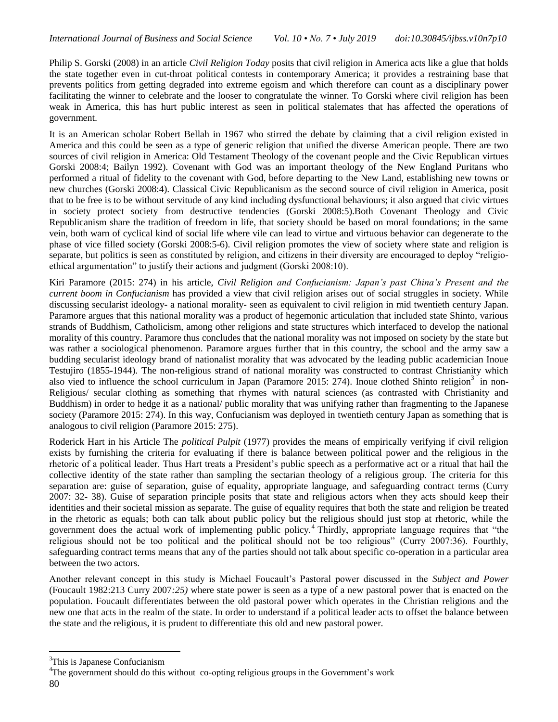Philip S. Gorski (2008) in an article *Civil Religion Today* posits that civil religion in America acts like a glue that holds the state together even in cut-throat political contests in contemporary America; it provides a restraining base that prevents politics from getting degraded into extreme egoism and which therefore can count as a disciplinary power facilitating the winner to celebrate and the looser to congratulate the winner. To Gorski where civil religion has been weak in America, this has hurt public interest as seen in political stalemates that has affected the operations of government.

It is an American scholar Robert Bellah in 1967 who stirred the debate by claiming that a civil religion existed in America and this could be seen as a type of generic religion that unified the diverse American people. There are two sources of civil religion in America: Old Testament Theology of the covenant people and the Civic Republican virtues Gorski 2008:4; Bailyn 1992). Covenant with God was an important theology of the New England Puritans who performed a ritual of fidelity to the covenant with God, before departing to the New Land, establishing new towns or new churches (Gorski 2008:4). Classical Civic Republicanism as the second source of civil religion in America, posit that to be free is to be without servitude of any kind including dysfunctional behaviours; it also argued that civic virtues in society protect society from destructive tendencies (Gorski 2008:5).Both Covenant Theology and Civic Republicanism share the tradition of freedom in life, that society should be based on moral foundations; in the same vein, both warn of cyclical kind of social life where vile can lead to virtue and virtuous behavior can degenerate to the phase of vice filled society (Gorski 2008:5-6). Civil religion promotes the view of society where state and religion is separate, but politics is seen as constituted by religion, and citizens in their diversity are encouraged to deploy "religioethical argumentation" to justify their actions and judgment (Gorski 2008:10).

Kiri Paramore (2015: 274) in his article, *Civil Religion and Confucianism: Japan's past China's Present and the current boom in Confucianism* has provided a view that civil religion arises out of social struggles in society. While discussing secularist ideology- a national morality- seen as equivalent to civil religion in mid twentieth century Japan. Paramore argues that this national morality was a product of hegemonic articulation that included state Shinto, various strands of Buddhism, Catholicism, among other religions and state structures which interfaced to develop the national morality of this country. Paramore thus concludes that the national morality was not imposed on society by the state but was rather a sociological phenomenon. Paramore argues further that in this country, the school and the army saw a budding secularist ideology brand of nationalist morality that was advocated by the leading public academician Inoue Testujiro (1855-1944). The non-religious strand of national morality was constructed to contrast Christianity which also vied to influence the school curriculum in Japan (Paramore 2015: 274). Inoue clothed Shinto religion<sup>3</sup> in non-Religious/ secular clothing as something that rhymes with natural sciences (as contrasted with Christianity and Buddhism) in order to hedge it as a national/ public morality that was unifying rather than fragmenting to the Japanese society (Paramore 2015: 274). In this way, Confucianism was deployed in twentieth century Japan as something that is analogous to civil religion (Paramore 2015: 275).

Roderick Hart in his Article The *political Pulpit* (1977) provides the means of empirically verifying if civil religion exists by furnishing the criteria for evaluating if there is balance between political power and the religious in the rhetoric of a political leader. Thus Hart treats a President's public speech as a performative act or a ritual that hail the collective identity of the state rather than sampling the sectarian theology of a religious group. The criteria for this separation are: guise of separation, guise of equality, appropriate language, and safeguarding contract terms (Curry 2007: 32- 38). Guise of separation principle posits that state and religious actors when they acts should keep their identities and their societal mission as separate. The guise of equality requires that both the state and religion be treated in the rhetoric as equals; both can talk about public policy but the religious should just stop at rhetoric, while the government does the actual work of implementing public policy.<sup>4</sup> Thirdly, appropriate language requires that "the religious should not be too political and the political should not be too religious" (Curry 2007:36). Fourthly, safeguarding contract terms means that any of the parties should not talk about specific co-operation in a particular area between the two actors.

Another relevant concept in this study is Michael Foucault's Pastoral power discussed in the *Subject and Power* (Foucault 1982:213 Curry 2007*:25)* where state power is seen as a type of a new pastoral power that is enacted on the population. Foucault differentiates between the old pastoral power which operates in the Christian religions and the new one that acts in the realm of the state. In order to understand if a political leader acts to offset the balance between the state and the religious, it is prudent to differentiate this old and new pastoral power.

 $\overline{a}$ 

<sup>&</sup>lt;sup>3</sup>This is Japanese Confucianism

<sup>&</sup>lt;sup>4</sup>The government should do this without co-opting religious groups in the Government's work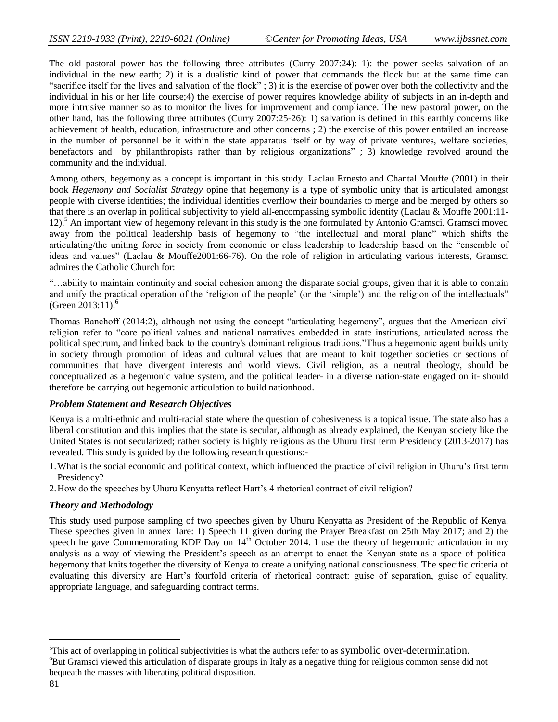The old pastoral power has the following three attributes (Curry 2007:24): 1): the power seeks salvation of an individual in the new earth; 2) it is a dualistic kind of power that commands the flock but at the same time can "sacrifice itself for the lives and salvation of the flock"; 3) it is the exercise of power over both the collectivity and the individual in his or her life course;4) the exercise of power requires knowledge ability of subjects in an in-depth and more intrusive manner so as to monitor the lives for improvement and compliance. The new pastoral power, on the other hand, has the following three attributes (Curry 2007:25-26): 1) salvation is defined in this earthly concerns like achievement of health, education, infrastructure and other concerns ; 2) the exercise of this power entailed an increase in the number of personnel be it within the state apparatus itself or by way of private ventures, welfare societies, benefactors and by philanthropists rather than by religious organizations"; 3) knowledge revolved around the community and the individual.

Among others, hegemony as a concept is important in this study. Laclau Ernesto and Chantal Mouffe (2001) in their book *Hegemony and Socialist Strategy* opine that hegemony is a type of symbolic unity that is articulated amongst people with diverse identities; the individual identities overflow their boundaries to merge and be merged by others so that there is an overlap in political subjectivity to yield all-encompassing symbolic identity (Laclau & Mouffe 2001:11- 12).<sup>5</sup> An important view of hegemony relevant in this study is the one formulated by Antonio Gramsci. Gramsci moved away from the political leadership basis of hegemony to "the intellectual and moral plane" which shifts the articulating/the uniting force in society from economic or class leadership to leadership based on the "ensemble of ideas and values" (Laclau & Mouffe2001:66-76). On the role of religion in articulating various interests, Gramsci admires the Catholic Church for:

―…ability to maintain continuity and social cohesion among the disparate social groups, given that it is able to contain and unify the practical operation of the 'religion of the people' (or the 'simple') and the religion of the intellectuals" (Green 2013:11). $^{6}$ 

Thomas Banchoff (2014:2), although not using the concept "articulating hegemony", argues that the American civil religion refer to "core political values and national narratives embedded in state institutions, articulated across the political spectrum, and linked back to the country's dominant religious traditions."Thus a hegemonic agent builds unity in society through promotion of ideas and cultural values that are meant to knit together societies or sections of communities that have divergent interests and world views. Civil religion, as a neutral theology, should be conceptualized as a hegemonic value system, and the political leader- in a diverse nation-state engaged on it- should therefore be carrying out hegemonic articulation to build nationhood.

# *Problem Statement and Research Objectives*

Kenya is a multi-ethnic and multi-racial state where the question of cohesiveness is a topical issue. The state also has a liberal constitution and this implies that the state is secular, although as already explained, the Kenyan society like the United States is not secularized; rather society is highly religious as the Uhuru first term Presidency (2013-2017) has revealed. This study is guided by the following research questions:-

- 1.What is the social economic and political context, which influenced the practice of civil religion in Uhuru's first term Presidency?
- 2.How do the speeches by Uhuru Kenyatta reflect Hart's 4 rhetorical contract of civil religion?

# *Theory and Methodology*

This study used purpose sampling of two speeches given by Uhuru Kenyatta as President of the Republic of Kenya. These speeches given in annex 1are: 1) Speech 11 given during the Prayer Breakfast on 25th May 2017; and 2) the speech he gave Commemorating KDF Day on  $14<sup>th</sup>$  October 2014. I use the theory of hegemonic articulation in my analysis as a way of viewing the President's speech as an attempt to enact the Kenyan state as a space of political hegemony that knits together the diversity of Kenya to create a unifying national consciousness. The specific criteria of evaluating this diversity are Hart's fourfold criteria of rhetorical contract: guise of separation, guise of equality, appropriate language, and safeguarding contract terms.

 $<sup>5</sup>$ This act of overlapping in political subjectivities is what the authors refer to as symbolic over-determination.</sup> <sup>6</sup>But Gramsci viewed this articulation of disparate groups in Italy as a negative thing for religious common sense did not bequeath the masses with liberating political disposition.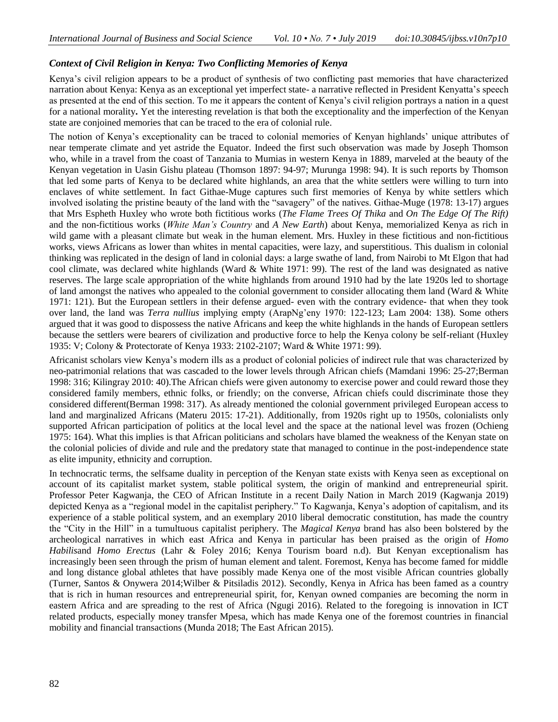# *Context of Civil Religion in Kenya: Two Conflicting Memories of Kenya*

Kenya's civil religion appears to be a product of synthesis of two conflicting past memories that have characterized narration about Kenya: Kenya as an exceptional yet imperfect state- a narrative reflected in President Kenyatta's speech as presented at the end of this section. To me it appears the content of Kenya's civil religion portrays a nation in a quest for a national morality**.** Yet the interesting revelation is that both the exceptionality and the imperfection of the Kenyan state are conjoined memories that can be traced to the era of colonial rule.

The notion of Kenya's exceptionality can be traced to colonial memories of Kenyan highlands' unique attributes of near temperate climate and yet astride the Equator. Indeed the first such observation was made by Joseph Thomson who, while in a travel from the coast of Tanzania to Mumias in western Kenya in 1889, marveled at the beauty of the Kenyan vegetation in Uasin Gishu plateau (Thomson 1897: 94-97; Murunga 1998: 94). It is such reports by Thomson that led some parts of Kenya to be declared white highlands, an area that the white settlers were willing to turn into enclaves of white settlement. In fact Githae-Muge captures such first memories of Kenya by white settlers which involved isolating the pristine beauty of the land with the "savagery" of the natives. Githae-Muge (1978: 13-17) argues that Mrs Espheth Huxley who wrote both fictitious works (*The Flame Trees Of Thika* and *On The Edge Of The Rift)* and the non-fictitious works (*White Man's Country* and *A New Earth*) about Kenya, memorialized Kenya as rich in wild game with a pleasant climate but weak in the human element. Mrs. Huxley in these fictitious and non-fictitious works, views Africans as lower than whites in mental capacities, were lazy, and superstitious. This dualism in colonial thinking was replicated in the design of land in colonial days: a large swathe of land, from Nairobi to Mt Elgon that had cool climate, was declared white highlands (Ward & White 1971: 99). The rest of the land was designated as native reserves. The large scale appropriation of the white highlands from around 1910 had by the late 1920s led to shortage of land amongst the natives who appealed to the colonial government to consider allocating them land (Ward & White 1971: 121). But the European settlers in their defense argued- even with the contrary evidence- that when they took over land, the land was *Terra nullius* implying empty (ArapNg'eny 1970: 122-123; Lam 2004: 138). Some others argued that it was good to dispossess the native Africans and keep the white highlands in the hands of European settlers because the settlers were bearers of civilization and productive force to help the Kenya colony be self-reliant (Huxley 1935: V; Colony & Protectorate of Kenya 1933: 2102-2107; Ward & White 1971: 99).

Africanist scholars view Kenya's modern ills as a product of colonial policies of indirect rule that was characterized by neo-patrimonial relations that was cascaded to the lower levels through African chiefs (Mamdani 1996: 25-27;Berman 1998: 316; Kilingray 2010: 40).The African chiefs were given autonomy to exercise power and could reward those they considered family members, ethnic folks, or friendly; on the converse, African chiefs could discriminate those they considered different(Berman 1998: 317). As already mentioned the colonial government privileged European access to land and marginalized Africans (Materu 2015: 17-21). Additionally, from 1920s right up to 1950s, colonialists only supported African participation of politics at the local level and the space at the national level was frozen (Ochieng 1975: 164). What this implies is that African politicians and scholars have blamed the weakness of the Kenyan state on the colonial policies of divide and rule and the predatory state that managed to continue in the post-independence state as elite impunity, ethnicity and corruption.

In technocratic terms, the selfsame duality in perception of the Kenyan state exists with Kenya seen as exceptional on account of its capitalist market system, stable political system, the origin of mankind and entrepreneurial spirit. Professor Peter Kagwanja, the CEO of African Institute in a recent Daily Nation in March 2019 (Kagwanja 2019) depicted Kenya as a "regional model in the capitalist periphery." To Kagwanja, Kenya's adoption of capitalism, and its experience of a stable political system, and an exemplary 2010 liberal democratic constitution, has made the country the "City in the Hill" in a tumultuous capitalist periphery. The *Magical Kenya* brand has also been bolstered by the archeological narratives in which east Africa and Kenya in particular has been praised as the origin of *Homo Habilis*and *Homo Erectus* (Lahr & Foley 2016; Kenya Tourism board n.d). But Kenyan exceptionalism has increasingly been seen through the prism of human element and talent. Foremost, Kenya has become famed for middle and long distance global athletes that have possibly made Kenya one of the most visible African countries globally (Turner, Santos & Onywera 2014;Wilber & Pitsiladis 2012). Secondly, Kenya in Africa has been famed as a country that is rich in human resources and entrepreneurial spirit, for, Kenyan owned companies are becoming the norm in eastern Africa and are spreading to the rest of Africa (Ngugi 2016). Related to the foregoing is innovation in ICT related products, especially money transfer Mpesa, which has made Kenya one of the foremost countries in financial mobility and financial transactions (Munda 2018; The East African 2015).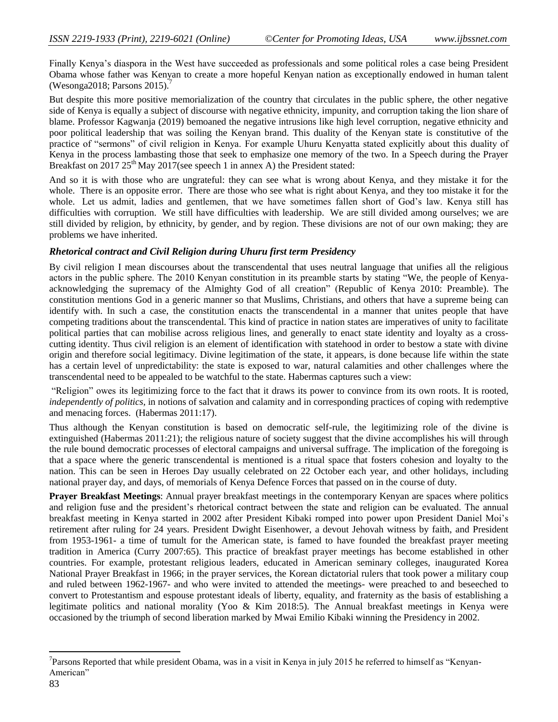Finally Kenya's diaspora in the West have succeeded as professionals and some political roles a case being President Obama whose father was Kenyan to create a more hopeful Kenyan nation as exceptionally endowed in human talent (Wesonga2018; Parsons 2015).<sup>7</sup>

But despite this more positive memorialization of the country that circulates in the public sphere, the other negative side of Kenya is equally a subject of discourse with negative ethnicity, impunity, and corruption taking the lion share of blame. Professor Kagwanja (2019) bemoaned the negative intrusions like high level corruption, negative ethnicity and poor political leadership that was soiling the Kenyan brand. This duality of the Kenyan state is constitutive of the practice of "sermons" of civil religion in Kenya. For example Uhuru Kenyatta stated explicitly about this duality of Kenya in the process lambasting those that seek to emphasize one memory of the two. In a Speech during the Prayer Breakfast on  $2017 25<sup>th</sup>$  May  $2017$ (see speech 1 in annex A) the President stated:

And so it is with those who are ungrateful: they can see what is wrong about Kenya, and they mistake it for the whole. There is an opposite error. There are those who see what is right about Kenya, and they too mistake it for the whole. Let us admit, ladies and gentlemen, that we have sometimes fallen short of God's law. Kenya still has difficulties with corruption. We still have difficulties with leadership. We are still divided among ourselves; we are still divided by religion, by ethnicity, by gender, and by region. These divisions are not of our own making; they are problems we have inherited.

# *Rhetorical contract and Civil Religion during Uhuru first term Presidency*

By civil religion I mean discourses about the transcendental that uses neutral language that unifies all the religious actors in the public sphere. The 2010 Kenyan constitution in its preamble starts by stating "We, the people of Kenyaacknowledging the supremacy of the Almighty God of all creation" (Republic of Kenya 2010: Preamble). The constitution mentions God in a generic manner so that Muslims, Christians, and others that have a supreme being can identify with. In such a case, the constitution enacts the transcendental in a manner that unites people that have competing traditions about the transcendental. This kind of practice in nation states are imperatives of unity to facilitate political parties that can mobilise across religious lines, and generally to enact state identity and loyalty as a crosscutting identity. Thus civil religion is an element of identification with statehood in order to bestow a state with divine origin and therefore social legitimacy. Divine legitimation of the state, it appears, is done because life within the state has a certain level of unpredictability: the state is exposed to war, natural calamities and other challenges where the transcendental need to be appealed to be watchful to the state. Habermas captures such a view:

"Religion" owes its legitimizing force to the fact that it draws its power to convince from its own roots. It is rooted, *independently of politics,* in notions of salvation and calamity and in corresponding practices of coping with redemptive and menacing forces. (Habermas 2011:17).

Thus although the Kenyan constitution is based on democratic self-rule, the legitimizing role of the divine is extinguished (Habermas 2011:21); the religious nature of society suggest that the divine accomplishes his will through the rule bound democratic processes of electoral campaigns and universal suffrage. The implication of the foregoing is that a space where the generic transcendental is mentioned is a ritual space that fosters cohesion and loyalty to the nation. This can be seen in Heroes Day usually celebrated on 22 October each year, and other holidays, including national prayer day, and days, of memorials of Kenya Defence Forces that passed on in the course of duty.

**Prayer Breakfast Meetings**: Annual prayer breakfast meetings in the contemporary Kenyan are spaces where politics and religion fuse and the president's rhetorical contract between the state and religion can be evaluated. The annual breakfast meeting in Kenya started in 2002 after President Kibaki romped into power upon President Daniel Moi's retirement after ruling for 24 years. President Dwight Eisenhower, a devout Jehovah witness by faith, and President from 1953-1961- a time of tumult for the American state, is famed to have founded the breakfast prayer meeting tradition in America (Curry 2007:65). This practice of breakfast prayer meetings has become established in other countries. For example, protestant religious leaders, educated in American seminary colleges, inaugurated Korea National Prayer Breakfast in 1966; in the prayer services, the Korean dictatorial rulers that took power a military coup and ruled between 1962-1967- and who were invited to attended the meetings- were preached to and beseeched to convert to Protestantism and espouse protestant ideals of liberty, equality, and fraternity as the basis of establishing a legitimate politics and national morality (Yoo & Kim 2018:5). The Annual breakfast meetings in Kenya were occasioned by the triumph of second liberation marked by Mwai Emilio Kibaki winning the Presidency in 2002.

 $\overline{a}$ 

 $7$ Parsons Reported that while president Obama, was in a visit in Kenya in july 2015 he referred to himself as "Kenyan-American"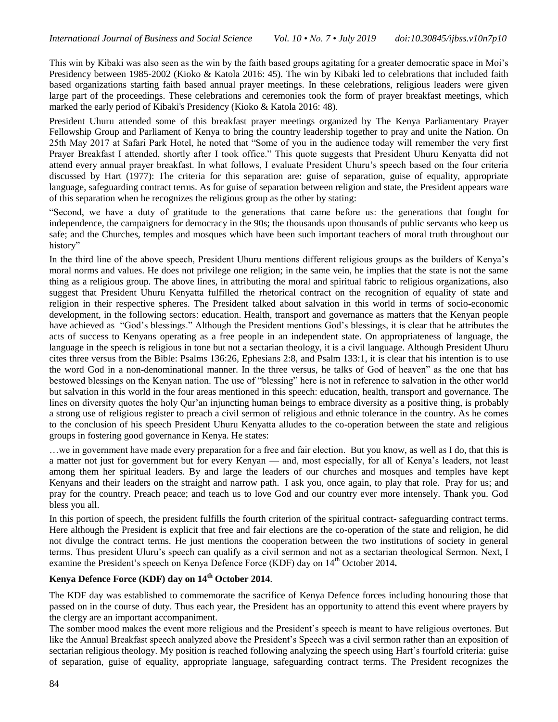This win by Kibaki was also seen as the win by the faith based groups agitating for a greater democratic space in Moi's Presidency between 1985-2002 (Kioko & Katola 2016: 45). The win by Kibaki led to celebrations that included faith based organizations starting faith based annual prayer meetings. In these celebrations, religious leaders were given large part of the proceedings. These celebrations and ceremonies took the form of prayer breakfast meetings, which marked the early period of Kibaki's Presidency (Kioko & Katola 2016: 48).

President Uhuru attended some of this breakfast prayer meetings organized by The Kenya Parliamentary Prayer Fellowship Group and Parliament of Kenya to bring the country leadership together to pray and unite the Nation. On 25th May 2017 at Safari Park Hotel, he noted that "Some of you in the audience today will remember the very first Prayer Breakfast I attended, shortly after I took office." This quote suggests that President Uhuru Kenyatta did not attend every annual prayer breakfast. In what follows, I evaluate President Uhuru's speech based on the four criteria discussed by Hart (1977): The criteria for this separation are: guise of separation, guise of equality, appropriate language, safeguarding contract terms. As for guise of separation between religion and state, the President appears ware of this separation when he recognizes the religious group as the other by stating:

―Second, we have a duty of gratitude to the generations that came before us: the generations that fought for independence, the campaigners for democracy in the 90s; the thousands upon thousands of public servants who keep us safe; and the Churches, temples and mosques which have been such important teachers of moral truth throughout our history"

In the third line of the above speech, President Uhuru mentions different religious groups as the builders of Kenya's moral norms and values. He does not privilege one religion; in the same vein, he implies that the state is not the same thing as a religious group. The above lines, in attributing the moral and spiritual fabric to religious organizations, also suggest that President Uhuru Kenyatta fulfilled the rhetorical contract on the recognition of equality of state and religion in their respective spheres. The President talked about salvation in this world in terms of socio-economic development, in the following sectors: education. Health, transport and governance as matters that the Kenyan people have achieved as "God's blessings." Although the President mentions God's blessings, it is clear that he attributes the acts of success to Kenyans operating as a free people in an independent state. On appropriateness of language, the language in the speech is religious in tone but not a sectarian theology, it is a civil language. Although President Uhuru cites three versus from the Bible: Psalms 136:26, Ephesians 2:8, and Psalm 133:1, it is clear that his intention is to use the word God in a non-denominational manner. In the three versus, he talks of God of heaven" as the one that has bestowed blessings on the Kenyan nation. The use of "blessing" here is not in reference to salvation in the other world but salvation in this world in the four areas mentioned in this speech: education, health, transport and governance. The lines on diversity quotes the holy Qur'an injuncting human beings to embrace diversity as a positive thing, is probably a strong use of religious register to preach a civil sermon of religious and ethnic tolerance in the country. As he comes to the conclusion of his speech President Uhuru Kenyatta alludes to the co-operation between the state and religious groups in fostering good governance in Kenya. He states:

…we in government have made every preparation for a free and fair election. But you know, as well as I do, that this is a matter not just for government but for every Kenyan — and, most especially, for all of Kenya's leaders, not least among them her spiritual leaders. By and large the leaders of our churches and mosques and temples have kept Kenyans and their leaders on the straight and narrow path. I ask you, once again, to play that role. Pray for us; and pray for the country. Preach peace; and teach us to love God and our country ever more intensely. Thank you. God bless you all.

In this portion of speech, the president fulfills the fourth criterion of the spiritual contract- safeguarding contract terms. Here although the President is explicit that free and fair elections are the co-operation of the state and religion, he did not divulge the contract terms. He just mentions the cooperation between the two institutions of society in general terms. Thus president Uluru's speech can qualify as a civil sermon and not as a sectarian theological Sermon. Next, I examine the President's speech on Kenya Defence Force (KDF) day on  $14<sup>th</sup>$  October 2014.

# **Kenya Defence Force (KDF) day on 14th October 2014**.

The KDF day was established to commemorate the sacrifice of Kenya Defence forces including honouring those that passed on in the course of duty. Thus each year, the President has an opportunity to attend this event where prayers by the clergy are an important accompaniment.

The somber mood makes the event more religious and the President's speech is meant to have religious overtones. But like the Annual Breakfast speech analyzed above the President's Speech was a civil sermon rather than an exposition of sectarian religious theology. My position is reached following analyzing the speech using Hart's fourfold criteria: guise of separation, guise of equality, appropriate language, safeguarding contract terms. The President recognizes the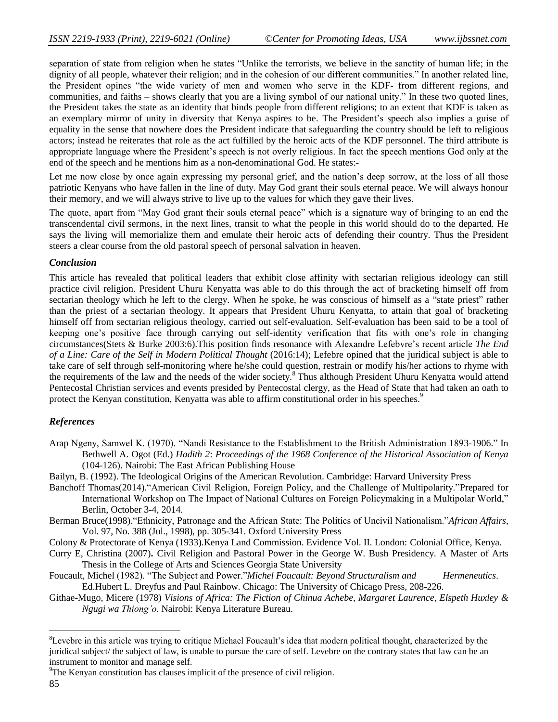separation of state from religion when he states "Unlike the terrorists, we believe in the sanctity of human life; in the dignity of all people, whatever their religion; and in the cohesion of our different communities." In another related line, the President opines "the wide variety of men and women who serve in the KDF- from different regions, and communities, and faiths – shows clearly that you are a living symbol of our national unity." In these two quoted lines, the President takes the state as an identity that binds people from different religions; to an extent that KDF is taken as an exemplary mirror of unity in diversity that Kenya aspires to be. The President's speech also implies a guise of equality in the sense that nowhere does the President indicate that safeguarding the country should be left to religious actors; instead he reiterates that role as the act fulfilled by the heroic acts of the KDF personnel. The third attribute is appropriate language where the President's speech is not overly religious. In fact the speech mentions God only at the end of the speech and he mentions him as a non-denominational God. He states:-

Let me now close by once again expressing my personal grief, and the nation's deep sorrow, at the loss of all those patriotic Kenyans who have fallen in the line of duty. May God grant their souls eternal peace. We will always honour their memory, and we will always strive to live up to the values for which they gave their lives.

The quote, apart from "May God grant their souls eternal peace" which is a signature way of bringing to an end the transcendental civil sermons, in the next lines, transit to what the people in this world should do to the departed. He says the living will memorialize them and emulate their heroic acts of defending their country. Thus the President steers a clear course from the old pastoral speech of personal salvation in heaven.

#### *Conclusion*

This article has revealed that political leaders that exhibit close affinity with sectarian religious ideology can still practice civil religion. President Uhuru Kenyatta was able to do this through the act of bracketing himself off from sectarian theology which he left to the clergy. When he spoke, he was conscious of himself as a "state priest" rather than the priest of a sectarian theology. It appears that President Uhuru Kenyatta, to attain that goal of bracketing himself off from sectarian religious theology, carried out self-evaluation. Self-evaluation has been said to be a tool of keeping one's positive face through carrying out self-identity verification that fits with one's role in changing circumstances(Stets & Burke 2003:6).This position finds resonance with Alexandre Lefebvre's recent article *The End of a Line: Care of the Self in Modern Political Thought* (2016:14); Lefebre opined that the juridical subject is able to take care of self through self-monitoring where he/she could question, restrain or modify his/her actions to rhyme with the requirements of the law and the needs of the wider society.<sup>8</sup> Thus although President Uhuru Kenyatta would attend Pentecostal Christian services and events presided by Pentecostal clergy, as the Head of State that had taken an oath to protect the Kenyan constitution, Kenyatta was able to affirm constitutional order in his speeches.<sup>9</sup>

#### *References*

- Arap Ngeny, Samwel K. (1970). "Nandi Resistance to the Establishment to the British Administration 1893-1906." In Bethwell A. Ogot (Ed.) *Hadith 2*: *Proceedings of the 1968 Conference of the Historical Association of Kenya*  (104-126). Nairobi: The East African Publishing House
- Bailyn, B. (1992). The Ideological Origins of the American Revolution. Cambridge: Harvard University Press
- Banchoff Thomas(2014). "American Civil Religion, Foreign Policy, and the Challenge of Multipolarity."Prepared for International Workshop on The Impact of National Cultures on Foreign Policymaking in a Multipolar World," Berlin, October 3-4, 2014.
- Berman Bruce(1998). "Ethnicity, Patronage and the African State: The Politics of Uncivil Nationalism."African Affairs, Vol. 97, No. 388 (Jul., 1998), pp. 305-341. Oxford University Press
- Colony & Protectorate of Kenya (1933).Kenya Land Commission. Evidence Vol. II. London: Colonial Office, Kenya.
- Curry E, Christina (2007)**.** Civil Religion and Pastoral Power in the George W. Bush Presidency. A Master of Arts Thesis in the College of Arts and Sciences Georgia State University
- Foucault, Michel (1982). "The Subject and Power."Michel Foucault: Beyond Structuralism and *Hermeneutics*. Ed.Hubert L. Dreyfus and Paul Rainbow. Chicago: The University of Chicago Press, 208-226.
- Githae-Mugo, Micere (1978) *Visions of Africa: The Fiction of Chinua Achebe, Margaret Laurence, Elspeth Huxley & Ngugi wa Thiong'o*. Nairobi: Kenya Literature Bureau.

<sup>&</sup>lt;sup>8</sup>Levebre in this article was trying to critique Michael Foucault's idea that modern political thought, characterized by the juridical subject/ the subject of law, is unable to pursue the care of self. Levebre on the contrary states that law can be an instrument to monitor and manage self.

<sup>&</sup>lt;sup>9</sup>The Kenyan constitution has clauses implicit of the presence of civil religion.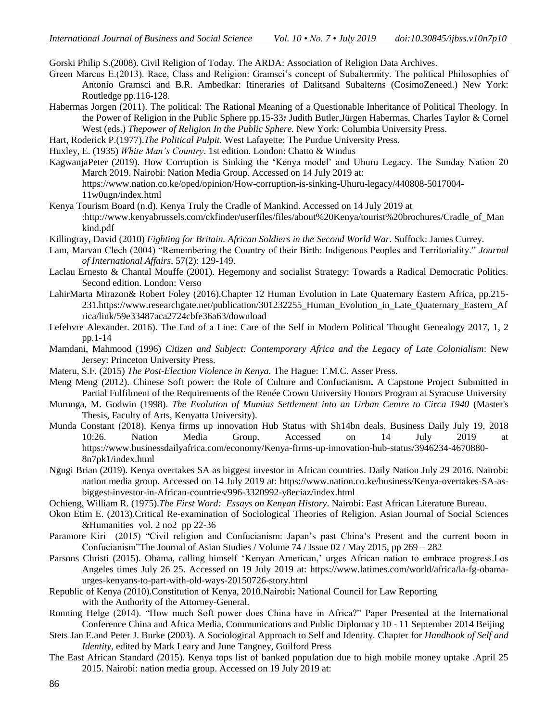Gorski Philip S.(2008). Civil Religion of Today. The ARDA: Association of Religion Data Archives.

- Green Marcus E.(2013). Race, Class and Religion: Gramsci's concept of Subaltermity. The political Philosophies of Antonio Gramsci and B.R. Ambedkar: Itineraries of Dalitsand Subalterns (CosimoZeneed.) New York: Routledge pp.116-128.
- Habermas Jorgen (2011). The political: The Rational Meaning of a Questionable Inheritance of Political Theology. In the Power of Religion in the Public Sphere pp.15-33*:* Judith Butler,Jürgen Habermas, Charles Taylor & Cornel West (eds.) *Thepower of Religion In the Public Sphere*. New York: Columbia University Press.
- Hart, Roderick P.(1977).*The Political Pulpit*. West Lafayette: The Purdue University Press.

Huxley, E. (1935) *White Man's Country*. 1st edition. London: Chatto & Windus

KagwanjaPeter (2019). How Corruption is Sinking the 'Kenya model' and Uhuru Legacy. The Sunday Nation 20 March 2019. Nairobi: Nation Media Group. Accessed on 14 July 2019 at:

[https://www.nation.co.ke/oped/opinion/How-corruption-is-sinking-Uhuru-legacy/440808-5017004-](https://www.nation.co.ke/oped/opinion/How-corruption-is-sinking-Uhuru-legacy/440808-5017004-11w0ugn/index.html) [11w0ugn/index.html](https://www.nation.co.ke/oped/opinion/How-corruption-is-sinking-Uhuru-legacy/440808-5017004-11w0ugn/index.html)

- Kenya Tourism Board (n.d). Kenya Truly the Cradle of Mankind. Accessed on 14 July 2019 at [:http://www.kenyabrussels.com/ckfinder/userfiles/files/about%20Kenya/tourist%20brochures/Cradle\\_of\\_Man](http://www.kenyabrussels.com/ckfinder/userfiles/files/about%20Kenya/tourist%20brochures/Cradle_of_Mankind.pdf) [kind.pdf](http://www.kenyabrussels.com/ckfinder/userfiles/files/about%20Kenya/tourist%20brochures/Cradle_of_Mankind.pdf)
- Killingray, David (2010) *Fighting for Britain. African Soldiers in the Second World War*. Suffock: James Currey.
- Lam, Marvan Clech (2004) "Remembering the Country of their Birth: Indigenous Peoples and Territoriality." *Journal of International Affairs,* 57(2): 129-149.
- Laclau Ernesto & Chantal Mouffe (2001). Hegemony and socialist Strategy: Towards a Radical Democratic Politics. Second edition. London: Verso
- LahirMarta Mirazon& Robert Foley (2016).Chapter 12 Human Evolution in Late Quaternary Eastern Africa, pp.215- 231[.https://www.researchgate.net/publication/301232255\\_Human\\_Evolution\\_in\\_Late\\_Quaternary\\_Eastern\\_Af](https://www.researchgate.net/publication/301232255_Human_Evolution_in_Late_Quaternary_Eastern_Africa/link/59e33487aca2724cbfe36a63/download) [rica/link/59e33487aca2724cbfe36a63/download](https://www.researchgate.net/publication/301232255_Human_Evolution_in_Late_Quaternary_Eastern_Africa/link/59e33487aca2724cbfe36a63/download)
- Lefebvre Alexander. 2016). The End of a Line: Care of the Self in Modern Political Thought Genealogy 2017, 1, 2 pp.1-14
- Mamdani, Mahmood (1996) *Citizen and Subject: Contemporary Africa and the Legacy of Late Colonialism*: New Jersey: Princeton University Press.
- Materu, S.F. (2015) *The Post-Election Violence in Kenya.* The Hague: T.M.C. Asser Press.
- Meng Meng (2012). Chinese Soft power: the Role of Culture and Confucianism**.** A Capstone Project Submitted in Partial Fulfilment of the Requirements of the Renée Crown University Honors Program at Syracuse University
- Murunga, M. Godwin (1998). *The Evolution of Mumias Settlement into an Urban Centre to Circa 1940* (Master's Thesis, Faculty of Arts, Kenyatta University).
- Munda Constant (2018). Kenya firms up innovation Hub Status with Sh14bn deals. Business Daily July 19, 2018 10:26. Nation Media Group. Accessed on 14 July 2019 at [https://www.businessdailyafrica.com/economy/Kenya-firms-up-innovation-hub-status/3946234-4670880-](https://www.businessdailyafrica.com/economy/Kenya-firms-up-innovation-hub-status/3946234-4670880-8n7pk1/index.html) [8n7pk1/index.html](https://www.businessdailyafrica.com/economy/Kenya-firms-up-innovation-hub-status/3946234-4670880-8n7pk1/index.html)
- Ngugi Brian (2019). Kenya overtakes SA as biggest investor in African countries. Daily Nation July 29 2016. Nairobi: nation media group. Accessed on 14 July 2019 at: [https://www.nation.co.ke/business/Kenya-overtakes-SA-as](https://www.nation.co.ke/business/Kenya-overtakes-SA-as-biggest-investor-in-African-countries/996-3320992-y8eciaz/index.html)[biggest-investor-in-African-countries/996-3320992-y8eciaz/index.html](https://www.nation.co.ke/business/Kenya-overtakes-SA-as-biggest-investor-in-African-countries/996-3320992-y8eciaz/index.html)
- Ochieng, William R. (1975).*The First Word: Essays on Kenyan History*. Nairobi: East African Literature Bureau.
- Okon Etim E. (2013).Critical Re-examination of Sociological Theories of Religion. Asian Journal of Social Sciences &Humanities vol. 2 no2 pp 22-36
- Paramore Kiri (2015) "Civil religion and Confucianism: Japan's past China's Present and the current boom in Confucianism''The Journal of Asian Studies / Volume 74 / Issue 02 / May 2015, pp  $269 - 282$
- Parsons Christi (2015). Obama, calling himself 'Kenyan American,' urges African nation to embrace progress.Los Angeles times July 26 25. Accessed on 19 July 2019 at: [https://www.latimes.com/world/africa/la-fg-obama](https://www.latimes.com/world/africa/la-fg-obama-urges-kenyans-to-part-with-old-ways-20150726-story.html)[urges-kenyans-to-part-with-old-ways-20150726-story.html](https://www.latimes.com/world/africa/la-fg-obama-urges-kenyans-to-part-with-old-ways-20150726-story.html)
- Republic of Kenya (2010).Constitution of Kenya, 2010.Nairobi**:** National Council for Law Reporting with the Authority of the Attorney-General.
- Ronning Helge (2014). "How much Soft power does China have in Africa?" Paper Presented at the International Conference China and Africa Media, Communications and Public Diplomacy 10 - 11 September 2014 Beijing
- Stets Jan E.and Peter J. Burke (2003). A Sociological Approach to Self and Identity. Chapter for *Handbook of Self and Identity*, edited by Mark Leary and June Tangney, Guilford Press
- The East African Standard (2015). Kenya tops list of banked population due to high mobile money uptake .April 25 2015. Nairobi: nation media group. Accessed on 19 July 2019 at: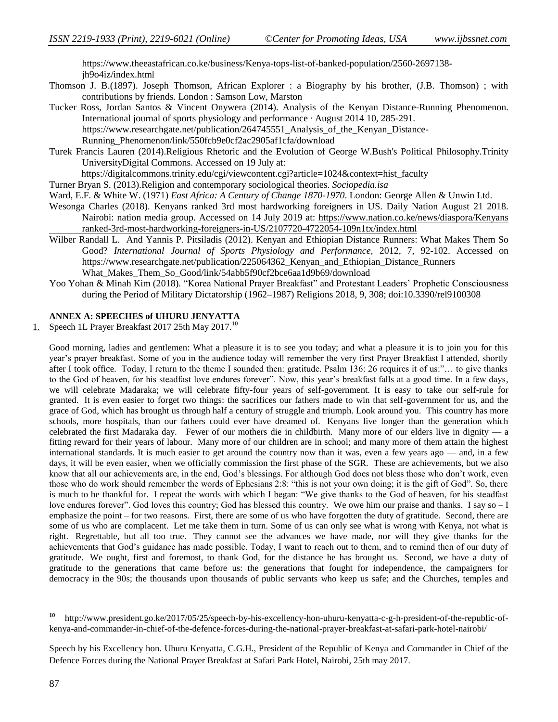[https://www.theeastafrican.co.ke/business/Kenya-tops-list-of-banked-population/2560-2697138](https://www.theeastafrican.co.ke/business/Kenya-tops-list-of-banked-population/2560-2697138-jh9o4iz/index.html) [jh9o4iz/index.html](https://www.theeastafrican.co.ke/business/Kenya-tops-list-of-banked-population/2560-2697138-jh9o4iz/index.html)

- Thomson J. B.(1897). Joseph Thomson, African Explorer : a Biography by his brother, (J.B. Thomson) ; with contributions by friends. London : Samson Low, Marston
- Tucker Ross, Jordan Santos & Vincent Onywera (2014). Analysis of the Kenyan Distance-Running Phenomenon. International journal of sports physiology and performance · August 2014 10, 285-291. https://www.researchgate.net/publication/264745551 Analysis of the Kenyan Distance-[Running\\_Phenomenon/link/550fcb9e0cf2ac2905af1cfa/download](https://www.researchgate.net/publication/264745551_Analysis_of_the_Kenyan_Distance-Running_Phenomenon/link/550fcb9e0cf2ac2905af1cfa/download)
- Turek Francis Lauren (2014).Religious Rhetoric and the Evolution of George W.Bush's Political Philosophy.Trinity UniversityDigital Commons. Accessed on 19 July at:

https://digitalcommons.trinity.edu/cgi/viewcontent.cgi?article=1024&context=hist\_faculty

Turner Bryan S. (2013).Religion and contemporary sociological theories. *Sociopedia.isa*

Ward, E.F. & White W. (1971) *East Africa: A Century of Change 1870-1970*. London: George Allen & Unwin Ltd.

- Wesonga Charles (2018). Kenyans ranked 3rd most hardworking foreigners in US. Daily Nation August 21 2018. Nairobi: nation media group. Accessed on 14 July 2019 at: [https://www.nation.co.ke/news/diaspora/Kenyans](https://www.nation.co.ke/news/diaspora/Kenyans%09ranked-3rd-most-hardworking-foreigners-in-US/2107720-4722054-109n1tx/index.html) [ranked-3rd-most-hardworking-foreigners-in-US/2107720-4722054-109n1tx/index.html](https://www.nation.co.ke/news/diaspora/Kenyans%09ranked-3rd-most-hardworking-foreigners-in-US/2107720-4722054-109n1tx/index.html)
- Wilber Randall L. And Yannis P. Pitsiladis (2012). Kenyan and Ethiopian Distance Runners: What Makes Them So Good? *International Journal of Sports Physiology and Performance,* 2012, 7, 92-102. Accessed on https://www.researchgate.net/publication/225064362 Kenyan and Ethiopian Distance Runners What Makes Them So Good/link/54abb5f90cf2bce6aa1d9b69/download
- Yoo Yohan & Minah Kim (2018). "Korea National Prayer Breakfast" and Protestant Leaders' Prophetic Consciousness during the Period of Military Dictatorship (1962–1987) Religions 2018, 9, 308; doi:10.3390/rel9100308

### **ANNEX A: SPEECHES of UHURU JENYATTA**

1. Speech 1L Prayer Breakfast 2017 25th May 2017.<sup>10</sup>

Good morning, ladies and gentlemen: What a pleasure it is to see you today; and what a pleasure it is to join you for this year's prayer breakfast. Some of you in the audience today will remember the very first Prayer Breakfast I attended, shortly after I took office. Today, I return to the theme I sounded then: gratitude. Psalm 136: 26 requires it of us:"... to give thanks to the God of heaven, for his steadfast love endures forever". Now, this year's breakfast falls at a good time. In a few days, we will celebrate Madaraka; we will celebrate fifty-four years of self-government. It is easy to take our self-rule for granted. It is even easier to forget two things: the sacrifices our fathers made to win that self-government for us, and the grace of God, which has brought us through half a century of struggle and triumph. Look around you. This country has more schools, more hospitals, than our fathers could ever have dreamed of. Kenyans live longer than the generation which celebrated the first Madaraka day. Fewer of our mothers die in childbirth. Many more of our elders live in dignity — a fitting reward for their years of labour. Many more of our children are in school; and many more of them attain the highest international standards. It is much easier to get around the country now than it was, even a few years ago — and, in a few days, it will be even easier, when we officially commission the first phase of the SGR. These are achievements, but we also know that all our achievements are, in the end, God's blessings. For although God does not bless those who don't work, even those who do work should remember the words of Ephesians 2:8: "this is not your own doing; it is the gift of God". So, there is much to be thankful for. I repeat the words with which I began: "We give thanks to the God of heaven, for his steadfast love endures forever". God loves this country; God has blessed this country. We owe him our praise and thanks. I say so  $-I$ emphasize the point – for two reasons. First, there are some of us who have forgotten the duty of gratitude. Second, there are some of us who are complacent. Let me take them in turn. Some of us can only see what is wrong with Kenya, not what is right. Regrettable, but all too true. They cannot see the advances we have made, nor will they give thanks for the achievements that God's guidance has made possible. Today, I want to reach out to them, and to remind then of our duty of gratitude. We ought, first and foremost, to thank God, for the distance he has brought us. Second, we have a duty of gratitude to the generations that came before us: the generations that fought for independence, the campaigners for democracy in the 90s; the thousands upon thousands of public servants who keep us safe; and the Churches, temples and

**<sup>10</sup>** http://www.president.go.ke/2017/05/25/speech-by-his-excellency-hon-uhuru-kenyatta-c-g-h-president-of-the-republic-ofkenya-and-commander-in-chief-of-the-defence-forces-during-the-national-prayer-breakfast-at-safari-park-hotel-nairobi/

Speech by his Excellency hon. Uhuru Kenyatta, C.G.H., President of the Republic of Kenya and Commander in Chief of the Defence Forces during the National Prayer Breakfast at Safari Park Hotel, Nairobi, 25th may 2017.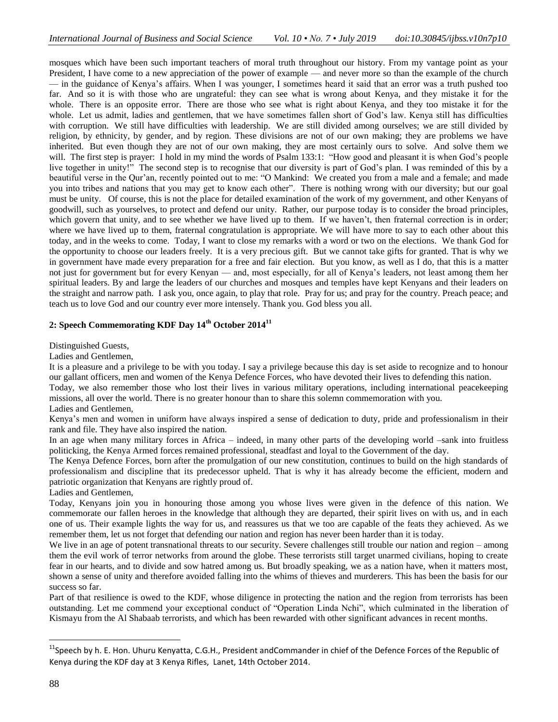mosques which have been such important teachers of moral truth throughout our history. From my vantage point as your President, I have come to a new appreciation of the power of example — and never more so than the example of the church — in the guidance of Kenya's affairs. When I was younger, I sometimes heard it said that an error was a truth pushed too far. And so it is with those who are ungrateful: they can see what is wrong about Kenya, and they mistake it for the whole. There is an opposite error. There are those who see what is right about Kenya, and they too mistake it for the whole. Let us admit, ladies and gentlemen, that we have sometimes fallen short of God's law. Kenya still has difficulties with corruption. We still have difficulties with leadership. We are still divided among ourselves; we are still divided by religion, by ethnicity, by gender, and by region. These divisions are not of our own making; they are problems we have inherited. But even though they are not of our own making, they are most certainly ours to solve. And solve them we will. The first step is prayer: I hold in my mind the words of Psalm 133:1: "How good and pleasant it is when God's people live together in unity!" The second step is to recognise that our diversity is part of God's plan. I was reminded of this by a beautiful verse in the Qur'an, recently pointed out to me: "O Mankind: We created you from a male and a female; and made you into tribes and nations that you may get to know each other". There is nothing wrong with our diversity; but our goal must be unity. Of course, this is not the place for detailed examination of the work of my government, and other Kenyans of goodwill, such as yourselves, to protect and defend our unity. Rather, our purpose today is to consider the broad principles, which govern that unity, and to see whether we have lived up to them. If we haven't, then fraternal correction is in order; where we have lived up to them, fraternal congratulation is appropriate. We will have more to say to each other about this today, and in the weeks to come. Today, I want to close my remarks with a word or two on the elections. We thank God for the opportunity to choose our leaders freely. It is a very precious gift. But we cannot take gifts for granted. That is why we in government have made every preparation for a free and fair election. But you know, as well as I do, that this is a matter not just for government but for every Kenyan — and, most especially, for all of Kenya's leaders, not least among them her spiritual leaders. By and large the leaders of our churches and mosques and temples have kept Kenyans and their leaders on the straight and narrow path. I ask you, once again, to play that role. Pray for us; and pray for the country. Preach peace; and teach us to love God and our country ever more intensely. Thank you. God bless you all.

### **2: Speech Commemorating KDF Day 14th October 2014<sup>11</sup>**

Distinguished Guests,

Ladies and Gentlemen,

It is a pleasure and a privilege to be with you today. I say a privilege because this day is set aside to recognize and to honour our gallant officers, men and women of the Kenya Defence Forces, who have devoted their lives to defending this nation.

Today, we also remember those who lost their lives in various military operations, including international peacekeeping missions, all over the world. There is no greater honour than to share this solemn commemoration with you.

Ladies and Gentlemen,

Kenya's men and women in uniform have always inspired a sense of dedication to duty, pride and professionalism in their rank and file. They have also inspired the nation.

In an age when many military forces in Africa – indeed, in many other parts of the developing world –sank into fruitless politicking, the Kenya Armed forces remained professional, steadfast and loyal to the Government of the day.

The Kenya Defence Forces, born after the promulgation of our new constitution, continues to build on the high standards of professionalism and discipline that its predecessor upheld. That is why it has already become the efficient, modern and patriotic organization that Kenyans are rightly proud of.

Ladies and Gentlemen,

Today, Kenyans join you in honouring those among you whose lives were given in the defence of this nation. We commemorate our fallen heroes in the knowledge that although they are departed, their spirit lives on with us, and in each one of us. Their example lights the way for us, and reassures us that we too are capable of the feats they achieved. As we remember them, let us not forget that defending our nation and region has never been harder than it is today.

We live in an age of potent transnational threats to our security. Severe challenges still trouble our nation and region – among them the evil work of terror networks from around the globe. These terrorists still target unarmed civilians, hoping to create fear in our hearts, and to divide and sow hatred among us. But broadly speaking, we as a nation have, when it matters most, shown a sense of unity and therefore avoided falling into the whims of thieves and murderers. This has been the basis for our success so far.

Part of that resilience is owed to the KDF, whose diligence in protecting the nation and the region from terrorists has been outstanding. Let me commend your exceptional conduct of "Operation Linda Nchi", which culminated in the liberation of Kismayu from the Al Shabaab terrorists, and which has been rewarded with other significant advances in recent months.

<sup>&</sup>lt;sup>11</sup>Speech by h. E. Hon. Uhuru Kenyatta, C.G.H., President andCommander in chief of the Defence Forces of the Republic of Kenya during the KDF day at 3 Kenya Rifles, Lanet, 14th October 2014.